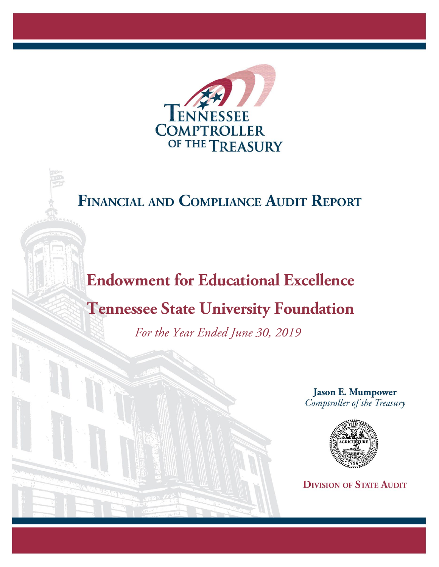

## FINANCIAL AND COMPLIANCE AUDIT REPORT

## **Endowment for Educational Excellence**

## **Tennessee State University Foundation**

*For the Year Ended June 30, 2019*

**Jason E. Mumpower** Comptroller of the Treasury



**DIVISION OF STATE AUDIT**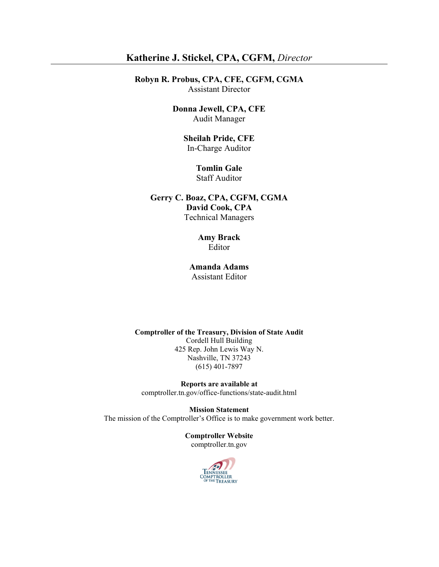### **Katherine J. Stickel, CPA, CGFM,** *Director*

**Robyn R. Probus, CPA, CFE, CGFM, CGMA**  Assistant Director

> **Donna Jewell, CPA, CFE**  Audit Manager

> > **Sheilah Pride, CFE**  In-Charge Auditor

> > > **Tomlin Gale**  Staff Auditor

### **Gerry C. Boaz, CPA, CGFM, CGMA David Cook, CPA**  Technical Managers

#### **Amy Brack**  Editor

**Amanda Adams**  Assistant Editor

**Comptroller of the Treasury, Division of State Audit**  Cordell Hull Building 425 Rep. John Lewis Way N. Nashville, TN 37243 (615) 401-7897

**Reports are available at**  comptroller.tn.gov/office-functions/state-audit.html

**Mission Statement**  The mission of the Comptroller's Office is to make government work better.

> **Comptroller Website**  comptroller.tn.gov

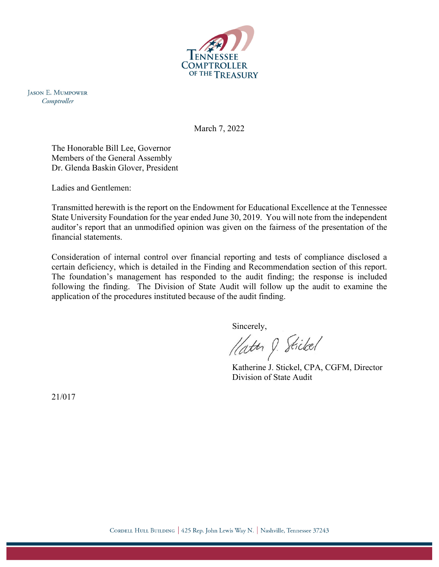

**JASON E. MUMPOWER** Comptroller

March 7, 2022

The Honorable Bill Lee, Governor Members of the General Assembly Dr. Glenda Baskin Glover, President

Ladies and Gentlemen:

Transmitted herewith is the report on the Endowment for Educational Excellence at the Tennessee State University Foundation for the year ended June 30, 2019. You will note from the independent auditor's report that an unmodified opinion was given on the fairness of the presentation of the financial statements.

Consideration of internal control over financial reporting and tests of compliance disclosed a certain deficiency, which is detailed in the Finding and Recommendation section of this report. The foundation's management has responded to the audit finding; the response is included following the finding. The Division of State Audit will follow up the audit to examine the application of the procedures instituted because of the audit finding.

Sincerely,

Hatter J. Stickel

 Katherine J. Stickel, CPA, CGFM, Director Division of State Audit

21/017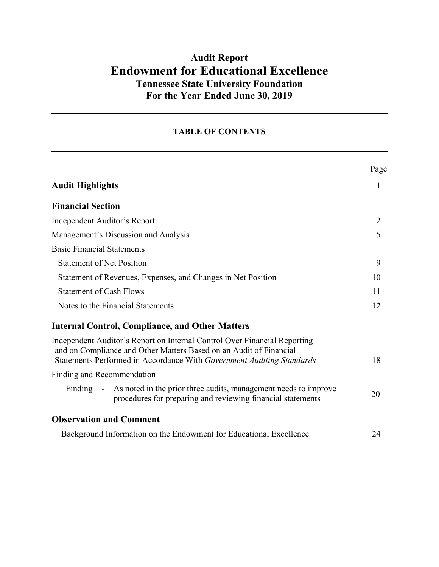## **Audit Report Endowment for Educational Excellence Tennessee State University Foundation For the Year Ended June 30, 2019**

### **TABLE OF CONTENTS**

|                                                                                                                                                                                                                          | Page           |
|--------------------------------------------------------------------------------------------------------------------------------------------------------------------------------------------------------------------------|----------------|
| <b>Audit Highlights</b>                                                                                                                                                                                                  | 1              |
| <b>Financial Section</b>                                                                                                                                                                                                 |                |
| Independent Auditor's Report                                                                                                                                                                                             | $\overline{2}$ |
| Management's Discussion and Analysis                                                                                                                                                                                     | 5              |
| <b>Basic Financial Statements</b>                                                                                                                                                                                        |                |
| <b>Statement of Net Position</b>                                                                                                                                                                                         | 9              |
| Statement of Revenues, Expenses, and Changes in Net Position                                                                                                                                                             | 10             |
| <b>Statement of Cash Flows</b>                                                                                                                                                                                           | 11             |
| Notes to the Financial Statements                                                                                                                                                                                        | 12             |
| <b>Internal Control, Compliance, and Other Matters</b>                                                                                                                                                                   |                |
| Independent Auditor's Report on Internal Control Over Financial Reporting<br>and on Compliance and Other Matters Based on an Audit of Financial<br>Statements Performed in Accordance With Government Auditing Standards | 18             |
| Finding and Recommendation                                                                                                                                                                                               |                |
| Finding - As noted in the prior three audits, management needs to improve<br>procedures for preparing and reviewing financial statements                                                                                 | 20             |
| <b>Observation and Comment</b>                                                                                                                                                                                           |                |
| Background Information on the Endowment for Educational Excellence                                                                                                                                                       | 24             |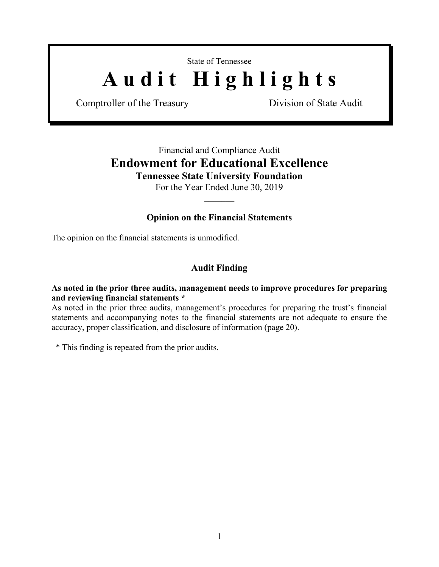### State of Tennessee

# Audit Highlights

Comptroller of the Treasury Division of State Audit

### Financial and Compliance Audit **Endowment for Educational Excellence Tennessee State University Foundation**

For the Year Ended June 30, 2019

### **Opinion on the Financial Statements**

The opinion on the financial statements is unmodified.

### **Audit Finding**

### **As noted in the prior three audits, management needs to improve procedures for preparing and reviewing financial statements \***

As noted in the prior three audits, management's procedures for preparing the trust's financial statements and accompanying notes to the financial statements are not adequate to ensure the accuracy, proper classification, and disclosure of information (page 20).

\* This finding is repeated from the prior audits.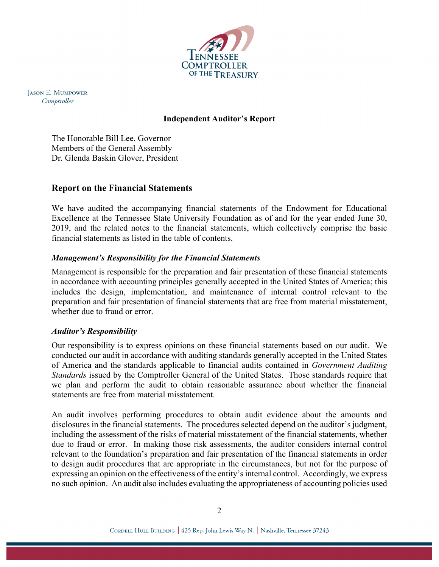

**JASON E. MUMPOWER** Comptroller

### **Independent Auditor's Report**

The Honorable Bill Lee, Governor Members of the General Assembly Dr. Glenda Baskin Glover, President

### **Report on the Financial Statements**

We have audited the accompanying financial statements of the Endowment for Educational Excellence at the Tennessee State University Foundation as of and for the year ended June 30, 2019, and the related notes to the financial statements, which collectively comprise the basic financial statements as listed in the table of contents.

### *Management's Responsibility for the Financial Statements*

Management is responsible for the preparation and fair presentation of these financial statements in accordance with accounting principles generally accepted in the United States of America; this includes the design, implementation, and maintenance of internal control relevant to the preparation and fair presentation of financial statements that are free from material misstatement, whether due to fraud or error.

### *Auditor's Responsibility*

Our responsibility is to express opinions on these financial statements based on our audit. We conducted our audit in accordance with auditing standards generally accepted in the United States of America and the standards applicable to financial audits contained in *Government Auditing Standards* issued by the Comptroller General of the United States. Those standards require that we plan and perform the audit to obtain reasonable assurance about whether the financial statements are free from material misstatement.

An audit involves performing procedures to obtain audit evidence about the amounts and disclosures in the financial statements. The procedures selected depend on the auditor's judgment, including the assessment of the risks of material misstatement of the financial statements, whether due to fraud or error. In making those risk assessments, the auditor considers internal control relevant to the foundation's preparation and fair presentation of the financial statements in order to design audit procedures that are appropriate in the circumstances, but not for the purpose of expressing an opinion on the effectiveness of the entity's internal control. Accordingly, we express no such opinion. An audit also includes evaluating the appropriateness of accounting policies used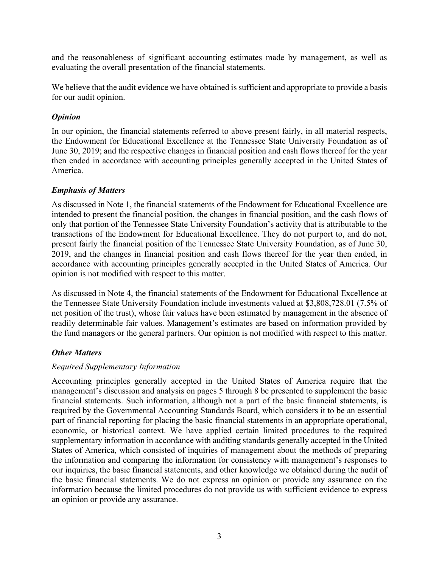and the reasonableness of significant accounting estimates made by management, as well as evaluating the overall presentation of the financial statements.

We believe that the audit evidence we have obtained is sufficient and appropriate to provide a basis for our audit opinion.

### *Opinion*

In our opinion, the financial statements referred to above present fairly, in all material respects, the Endowment for Educational Excellence at the Tennessee State University Foundation as of June 30, 2019; and the respective changes in financial position and cash flows thereof for the year then ended in accordance with accounting principles generally accepted in the United States of America.

### *Emphasis of Matters*

As discussed in Note 1, the financial statements of the Endowment for Educational Excellence are intended to present the financial position, the changes in financial position, and the cash flows of only that portion of the Tennessee State University Foundation's activity that is attributable to the transactions of the Endowment for Educational Excellence. They do not purport to, and do not, present fairly the financial position of the Tennessee State University Foundation, as of June 30, 2019, and the changes in financial position and cash flows thereof for the year then ended, in accordance with accounting principles generally accepted in the United States of America. Our opinion is not modified with respect to this matter.

As discussed in Note 4, the financial statements of the Endowment for Educational Excellence at the Tennessee State University Foundation include investments valued at \$3,808,728.01 (7.5% of net position of the trust), whose fair values have been estimated by management in the absence of readily determinable fair values. Management's estimates are based on information provided by the fund managers or the general partners. Our opinion is not modified with respect to this matter.

### *Other Matters*

### *Required Supplementary Information*

Accounting principles generally accepted in the United States of America require that the management's discussion and analysis on pages 5 through 8 be presented to supplement the basic financial statements. Such information, although not a part of the basic financial statements, is required by the Governmental Accounting Standards Board, which considers it to be an essential part of financial reporting for placing the basic financial statements in an appropriate operational, economic, or historical context. We have applied certain limited procedures to the required supplementary information in accordance with auditing standards generally accepted in the United States of America, which consisted of inquiries of management about the methods of preparing the information and comparing the information for consistency with management's responses to our inquiries, the basic financial statements, and other knowledge we obtained during the audit of the basic financial statements. We do not express an opinion or provide any assurance on the information because the limited procedures do not provide us with sufficient evidence to express an opinion or provide any assurance.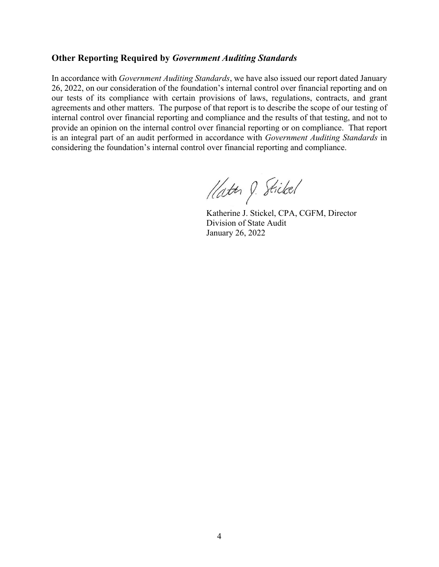### **Other Reporting Required by** *Government Auditing Standards*

In accordance with *Government Auditing Standards*, we have also issued our report dated January 26, 2022, on our consideration of the foundation's internal control over financial reporting and on our tests of its compliance with certain provisions of laws, regulations, contracts, and grant agreements and other matters. The purpose of that report is to describe the scope of our testing of internal control over financial reporting and compliance and the results of that testing, and not to provide an opinion on the internal control over financial reporting or on compliance. That report is an integral part of an audit performed in accordance with *Government Auditing Standards* in considering the foundation's internal control over financial reporting and compliance.

Hatter J. Stickel

 Katherine J. Stickel, CPA, CGFM, Director Division of State Audit January 26, 2022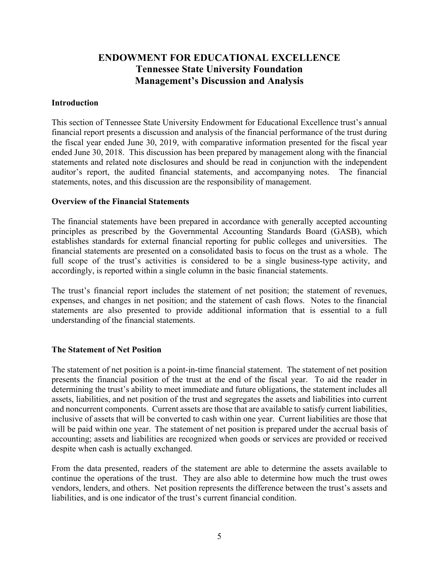### **ENDOWMENT FOR EDUCATIONAL EXCELLENCE Tennessee State University Foundation Management's Discussion and Analysis**

#### **Introduction**

This section of Tennessee State University Endowment for Educational Excellence trust's annual financial report presents a discussion and analysis of the financial performance of the trust during the fiscal year ended June 30, 2019, with comparative information presented for the fiscal year ended June 30, 2018. This discussion has been prepared by management along with the financial statements and related note disclosures and should be read in conjunction with the independent auditor's report, the audited financial statements, and accompanying notes. The financial statements, notes, and this discussion are the responsibility of management.

#### **Overview of the Financial Statements**

The financial statements have been prepared in accordance with generally accepted accounting principles as prescribed by the Governmental Accounting Standards Board (GASB), which establishes standards for external financial reporting for public colleges and universities. The financial statements are presented on a consolidated basis to focus on the trust as a whole. The full scope of the trust's activities is considered to be a single business-type activity, and accordingly, is reported within a single column in the basic financial statements.

The trust's financial report includes the statement of net position; the statement of revenues, expenses, and changes in net position; and the statement of cash flows. Notes to the financial statements are also presented to provide additional information that is essential to a full understanding of the financial statements.

### **The Statement of Net Position**

The statement of net position is a point-in-time financial statement. The statement of net position presents the financial position of the trust at the end of the fiscal year. To aid the reader in determining the trust's ability to meet immediate and future obligations, the statement includes all assets, liabilities, and net position of the trust and segregates the assets and liabilities into current and noncurrent components. Current assets are those that are available to satisfy current liabilities, inclusive of assets that will be converted to cash within one year. Current liabilities are those that will be paid within one year. The statement of net position is prepared under the accrual basis of accounting; assets and liabilities are recognized when goods or services are provided or received despite when cash is actually exchanged.

From the data presented, readers of the statement are able to determine the assets available to continue the operations of the trust. They are also able to determine how much the trust owes vendors, lenders, and others. Net position represents the difference between the trust's assets and liabilities, and is one indicator of the trust's current financial condition.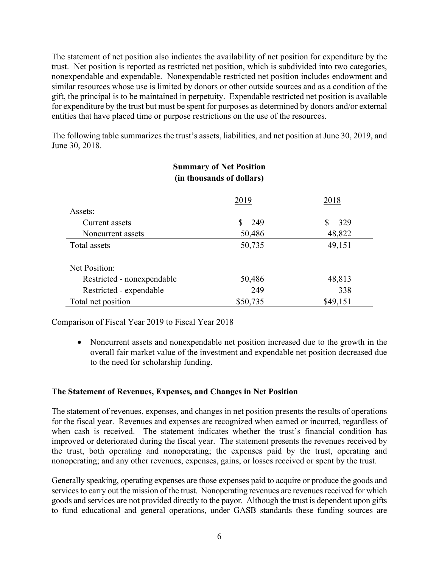The statement of net position also indicates the availability of net position for expenditure by the trust. Net position is reported as restricted net position, which is subdivided into two categories, nonexpendable and expendable. Nonexpendable restricted net position includes endowment and similar resources whose use is limited by donors or other outside sources and as a condition of the gift, the principal is to be maintained in perpetuity. Expendable restricted net position is available for expenditure by the trust but must be spent for purposes as determined by donors and/or external entities that have placed time or purpose restrictions on the use of the resources.

The following table summarizes the trust's assets, liabilities, and net position at June 30, 2019, and June 30, 2018.

**Summary of Net Position** 

| (in thousands of dollars)  |          |          |  |  |  |
|----------------------------|----------|----------|--|--|--|
|                            | 2019     | 2018     |  |  |  |
| Assets:                    |          |          |  |  |  |
| Current assets             | 249      | 329      |  |  |  |
| Noncurrent assets          | 50,486   | 48,822   |  |  |  |
| Total assets               | 50,735   | 49,151   |  |  |  |
| Net Position:              |          |          |  |  |  |
| Restricted - nonexpendable | 50,486   | 48,813   |  |  |  |
| Restricted - expendable    | 249      | 338      |  |  |  |
| Total net position         | \$50,735 | \$49,151 |  |  |  |

### Comparison of Fiscal Year 2019 to Fiscal Year 2018

• Noncurrent assets and nonexpendable net position increased due to the growth in the overall fair market value of the investment and expendable net position decreased due to the need for scholarship funding.

### **The Statement of Revenues, Expenses, and Changes in Net Position**

The statement of revenues, expenses, and changes in net position presents the results of operations for the fiscal year. Revenues and expenses are recognized when earned or incurred, regardless of when cash is received. The statement indicates whether the trust's financial condition has improved or deteriorated during the fiscal year. The statement presents the revenues received by the trust, both operating and nonoperating; the expenses paid by the trust, operating and nonoperating; and any other revenues, expenses, gains, or losses received or spent by the trust.

Generally speaking, operating expenses are those expenses paid to acquire or produce the goods and services to carry out the mission of the trust. Nonoperating revenues are revenues received for which goods and services are not provided directly to the payor. Although the trust is dependent upon gifts to fund educational and general operations, under GASB standards these funding sources are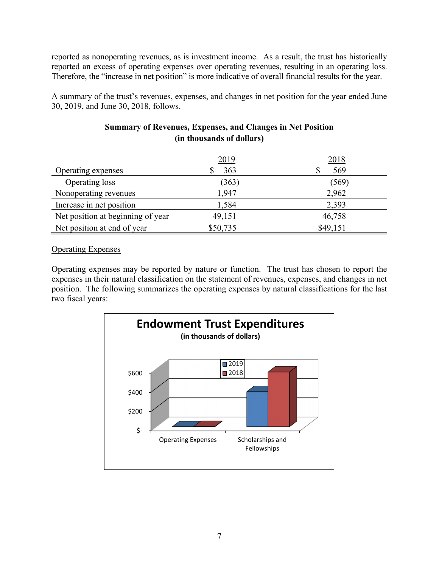reported as nonoperating revenues, as is investment income. As a result, the trust has historically reported an excess of operating expenses over operating revenues, resulting in an operating loss. Therefore, the "increase in net position" is more indicative of overall financial results for the year.

A summary of the trust's revenues, expenses, and changes in net position for the year ended June 30, 2019, and June 30, 2018, follows.

|                                   | 2019     | <u>2018</u> |
|-----------------------------------|----------|-------------|
| Operating expenses                | 363      | 569         |
| Operating loss                    | (363)    | (569)       |
| Nonoperating revenues             | 1,947    | 2,962       |
| Increase in net position          | 1,584    | 2,393       |
| Net position at beginning of year | 49,151   | 46,758      |
| Net position at end of year       | \$50,735 | \$49,151    |

### **Summary of Revenues, Expenses, and Changes in Net Position (in thousands of dollars)**

### Operating Expenses

Operating expenses may be reported by nature or function. The trust has chosen to report the expenses in their natural classification on the statement of revenues, expenses, and changes in net position. The following summarizes the operating expenses by natural classifications for the last two fiscal years:

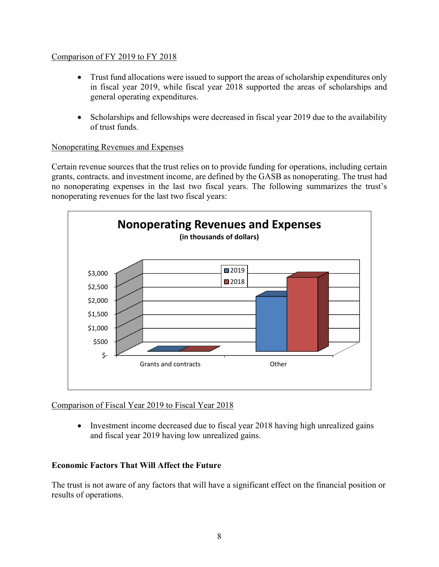### Comparison of FY 2019 to FY 2018

- Trust fund allocations were issued to support the areas of scholarship expenditures only in fiscal year 2019, while fiscal year 2018 supported the areas of scholarships and general operating expenditures.
- Scholarships and fellowships were decreased in fiscal year 2019 due to the availability of trust funds.

### Nonoperating Revenues and Expenses

Certain revenue sources that the trust relies on to provide funding for operations, including certain grants, contracts. and investment income, are defined by the GASB as nonoperating. The trust had no nonoperating expenses in the last two fiscal years. The following summarizes the trust's nonoperating revenues for the last two fiscal years:



### Comparison of Fiscal Year 2019 to Fiscal Year 2018

• Investment income decreased due to fiscal year 2018 having high unrealized gains and fiscal year 2019 having low unrealized gains.

### **Economic Factors That Will Affect the Future**

The trust is not aware of any factors that will have a significant effect on the financial position or results of operations.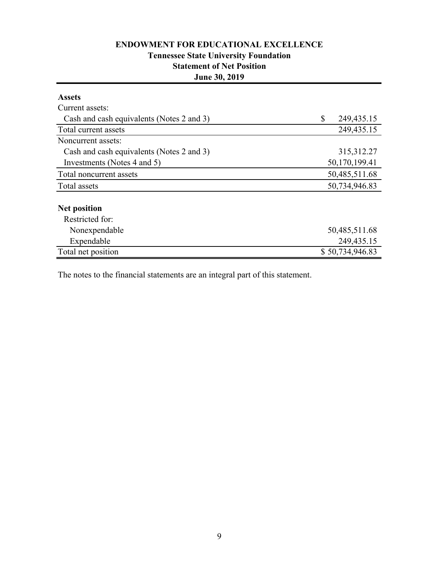### **ENDOWMENT FOR EDUCATIONAL EXCELLENCE Statement of Net Position June 30, 2019 Tennessee State University Foundation**

| <b>Assets</b>                             |                 |
|-------------------------------------------|-----------------|
| Current assets:                           |                 |
| Cash and cash equivalents (Notes 2 and 3) | S<br>249,435.15 |
| Total current assets                      | 249,435.15      |
| Noncurrent assets:                        |                 |
| Cash and cash equivalents (Notes 2 and 3) | 315,312.27      |
| Investments (Notes 4 and 5)               | 50,170,199.41   |
| Total noncurrent assets                   | 50,485,511.68   |
| Total assets                              | 50,734,946.83   |
| <b>Net position</b>                       |                 |
| Restricted for:                           |                 |
| Nonexpendable                             | 50,485,511.68   |
| Expendable                                | 249,435.15      |
| Total net position                        | \$50,734,946.83 |

The notes to the financial statements are an integral part of this statement.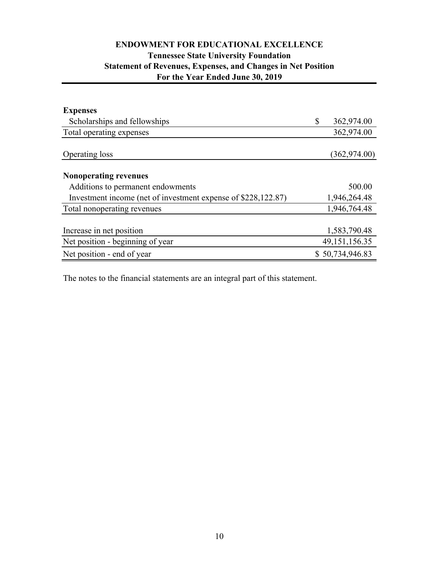### **Statement of Revenues, Expenses, and Changes in Net Position For the Year Ended June 30, 2019 ENDOWMENT FOR EDUCATIONAL EXCELLENCE Tennessee State University Foundation**

| <b>Expenses</b>                                               |                  |
|---------------------------------------------------------------|------------------|
| Scholarships and fellowships                                  | \$<br>362,974.00 |
| Total operating expenses                                      | 362,974.00       |
| Operating loss                                                | (362, 974.00)    |
| <b>Nonoperating revenues</b>                                  |                  |
| Additions to permanent endowments                             | 500.00           |
| Investment income (net of investment expense of \$228,122.87) | 1,946,264.48     |
| Total nonoperating revenues                                   | 1,946,764.48     |
|                                                               |                  |
| Increase in net position                                      | 1,583,790.48     |
| Net position - beginning of year                              | 49, 151, 156. 35 |
| Net position - end of year                                    | \$50,734,946.83  |

The notes to the financial statements are an integral part of this statement.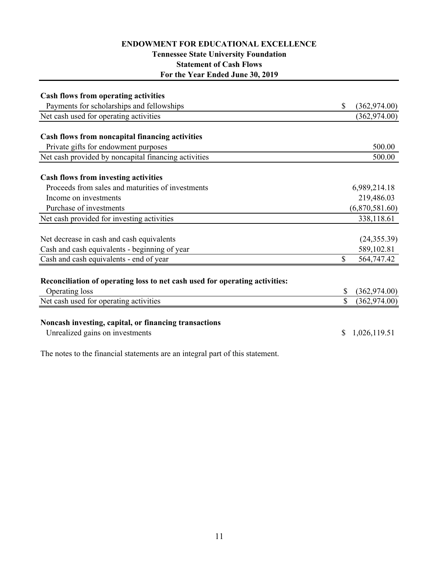### **ENDOWMENT FOR EDUCATIONAL EXCELLENCE Statement of Cash Flows For the Year Ended June 30, 2019 Tennessee State University Foundation**

| <b>Cash flows from operating activities</b>                                              |              |                |
|------------------------------------------------------------------------------------------|--------------|----------------|
| Payments for scholarships and fellowships                                                | \$           | (362, 974.00)  |
| Net cash used for operating activities                                                   |              | (362, 974.00)  |
| Cash flows from noncapital financing activities                                          |              |                |
| Private gifts for endowment purposes                                                     |              | 500.00         |
| Net cash provided by noncapital financing activities                                     |              | 500.00         |
| <b>Cash flows from investing activities</b>                                              |              |                |
| Proceeds from sales and maturities of investments                                        |              | 6,989,214.18   |
| Income on investments                                                                    |              | 219,486.03     |
| Purchase of investments                                                                  |              | (6,870,581.60) |
| Net cash provided for investing activities                                               |              | 338,118.61     |
|                                                                                          |              |                |
| Net decrease in cash and cash equivalents                                                |              | (24, 355.39)   |
| Cash and cash equivalents - beginning of year                                            |              | 589,102.81     |
| Cash and cash equivalents - end of year                                                  | $\mathbb{S}$ | 564,747.42     |
| Reconciliation of operating loss to net cash used for operating activities:              |              |                |
| Operating loss                                                                           | \$           | (362, 974.00)  |
| Net cash used for operating activities                                                   | \$           | (362, 974.00)  |
|                                                                                          |              |                |
| Noncash investing, capital, or financing transactions<br>Unrealized gains on investments | S            | 1,026,119.51   |

The notes to the financial statements are an integral part of this statement.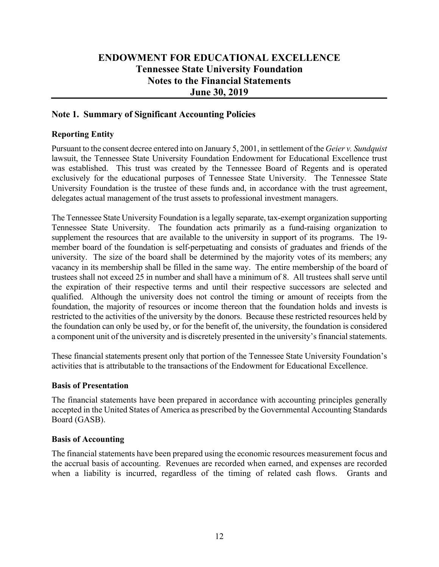### **ENDOWMENT FOR EDUCATIONAL EXCELLENCE Tennessee State University Foundation Notes to the Financial Statements June 30, 2019**

### **Note 1. Summary of Significant Accounting Policies**

### **Reporting Entity**

Pursuant to the consent decree entered into on January 5, 2001, in settlement of the *Geier v. Sundquist*  lawsuit, the Tennessee State University Foundation Endowment for Educational Excellence trust was established. This trust was created by the Tennessee Board of Regents and is operated exclusively for the educational purposes of Tennessee State University. The Tennessee State University Foundation is the trustee of these funds and, in accordance with the trust agreement, delegates actual management of the trust assets to professional investment managers.

The Tennessee State University Foundation is a legally separate, tax-exempt organization supporting Tennessee State University. The foundation acts primarily as a fund-raising organization to supplement the resources that are available to the university in support of its programs. The 19 member board of the foundation is self-perpetuating and consists of graduates and friends of the university. The size of the board shall be determined by the majority votes of its members; any vacancy in its membership shall be filled in the same way. The entire membership of the board of trustees shall not exceed 25 in number and shall have a minimum of 8. All trustees shall serve until the expiration of their respective terms and until their respective successors are selected and qualified. Although the university does not control the timing or amount of receipts from the foundation, the majority of resources or income thereon that the foundation holds and invests is restricted to the activities of the university by the donors. Because these restricted resources held by the foundation can only be used by, or for the benefit of, the university, the foundation is considered a component unit of the university and is discretely presented in the university's financial statements.

These financial statements present only that portion of the Tennessee State University Foundation's activities that is attributable to the transactions of the Endowment for Educational Excellence.

### **Basis of Presentation**

The financial statements have been prepared in accordance with accounting principles generally accepted in the United States of America as prescribed by the Governmental Accounting Standards Board (GASB).

### **Basis of Accounting**

The financial statements have been prepared using the economic resources measurement focus and the accrual basis of accounting. Revenues are recorded when earned, and expenses are recorded when a liability is incurred, regardless of the timing of related cash flows. Grants and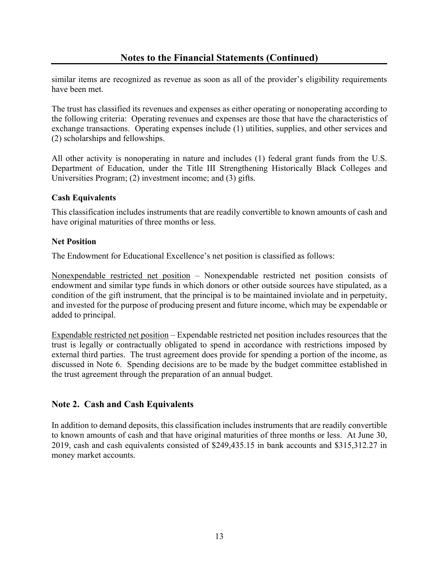similar items are recognized as revenue as soon as all of the provider's eligibility requirements have been met.

The trust has classified its revenues and expenses as either operating or nonoperating according to the following criteria: Operating revenues and expenses are those that have the characteristics of exchange transactions. Operating expenses include (1) utilities, supplies, and other services and (2) scholarships and fellowships.

All other activity is nonoperating in nature and includes (1) federal grant funds from the U.S. Department of Education, under the Title III Strengthening Historically Black Colleges and Universities Program; (2) investment income; and (3) gifts.

### **Cash Equivalents**

This classification includes instruments that are readily convertible to known amounts of cash and have original maturities of three months or less.

### **Net Position**

The Endowment for Educational Excellence's net position is classified as follows:

Nonexpendable restricted net position – Nonexpendable restricted net position consists of endowment and similar type funds in which donors or other outside sources have stipulated, as a condition of the gift instrument, that the principal is to be maintained inviolate and in perpetuity, and invested for the purpose of producing present and future income, which may be expendable or added to principal.

Expendable restricted net position – Expendable restricted net position includes resources that the trust is legally or contractually obligated to spend in accordance with restrictions imposed by external third parties. The trust agreement does provide for spending a portion of the income, as discussed in Note 6. Spending decisions are to be made by the budget committee established in the trust agreement through the preparation of an annual budget.

### **Note 2. Cash and Cash Equivalents**

In addition to demand deposits, this classification includes instruments that are readily convertible to known amounts of cash and that have original maturities of three months or less. At June 30, 2019, cash and cash equivalents consisted of \$249,435.15 in bank accounts and \$315,312.27 in money market accounts.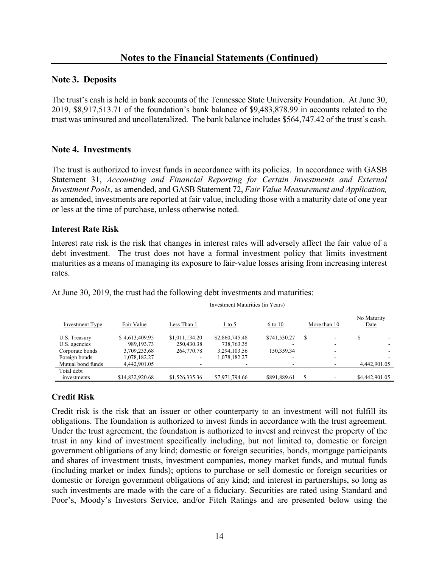### **Note 3. Deposits**

The trust's cash is held in bank accounts of the Tennessee State University Foundation. At June 30, 2019, \$8,917,513.71 of the foundation's bank balance of \$9,483,878.99 in accounts related to the trust was uninsured and uncollateralized. The bank balance includes \$564,747.42 of the trust's cash.

### **Note 4. Investments**

The trust is authorized to invest funds in accordance with its policies. In accordance with GASB Statement 31, *Accounting and Financial Reporting for Certain Investments and External Investment Pools*, as amended, and GASB Statement 72, *Fair Value Measurement and Application,*  as amended, investments are reported at fair value, including those with a maturity date of one year or less at the time of purchase, unless otherwise noted.

### **Interest Rate Risk**

Interest rate risk is the risk that changes in interest rates will adversely affect the fair value of a debt investment. The trust does not have a formal investment policy that limits investment maturities as a means of managing its exposure to fair-value losses arising from increasing interest rates.

|                   | Investment Maturities (in Years) |                |                |              |     |              |                     |  |
|-------------------|----------------------------------|----------------|----------------|--------------|-----|--------------|---------------------|--|
| Investment Type   | Fair Value                       | Less Than 1    | $1$ to 5       | 6 to 10      |     | More than 10 | No Maturity<br>Date |  |
| U.S. Treasury     | \$4,613,409.95                   | \$1,011,134.20 | \$2,860,745.48 | \$741,530.27 | \$. | ۰            | \$                  |  |
| U.S. agencies     | 989, 193. 73                     | 250,430.38     | 738,763.35     |              |     | -            |                     |  |
| Corporate bonds   | 3,709,233.68                     | 264,770.78     | 3,294,103.56   | 150,359.34   |     | -            |                     |  |
| Foreign bonds     | 1,078,182.27                     | ٠              | 1,078,182.27   |              |     | -            |                     |  |
| Mutual bond funds | 4.442.901.05                     | ۰              |                |              |     |              | 4.442,901.05        |  |
| Total debt        |                                  |                |                |              |     |              |                     |  |
| investments       | \$14,832,920.68                  | \$1,526,335.36 | \$7,971,794.66 | \$891,889.61 |     |              | \$4,442,901.05      |  |

At June 30, 2019, the trust had the following debt investments and maturities:

### **Credit Risk**

Credit risk is the risk that an issuer or other counterparty to an investment will not fulfill its obligations. The foundation is authorized to invest funds in accordance with the trust agreement. Under the trust agreement, the foundation is authorized to invest and reinvest the property of the trust in any kind of investment specifically including, but not limited to, domestic or foreign government obligations of any kind; domestic or foreign securities, bonds, mortgage participants and shares of investment trusts, investment companies, money market funds, and mutual funds (including market or index funds); options to purchase or sell domestic or foreign securities or domestic or foreign government obligations of any kind; and interest in partnerships, so long as such investments are made with the care of a fiduciary. Securities are rated using Standard and Poor's, Moody's Investors Service, and/or Fitch Ratings and are presented below using the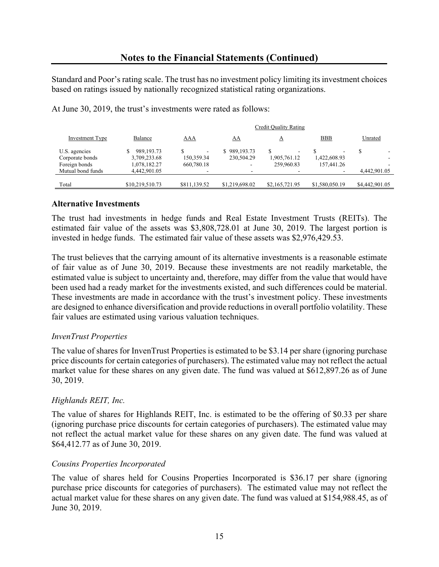Standard and Poor's rating scale. The trust has no investment policy limiting its investment choices based on ratings issued by nationally recognized statistical rating organizations.

|                   |                 | Credit Quality Rating |                |                |                |                |
|-------------------|-----------------|-----------------------|----------------|----------------|----------------|----------------|
| Investment Type   | Balance         | AAA                   | <u>AA</u>      | <u>A</u>       | <b>BBB</b>     | Unrated        |
| U.S. agencies     | 989, 193. 73    |                       | \$989,193.73   |                |                |                |
| Corporate bonds   | 3,709,233.68    | 150,359.34            | 230,504.29     | 1,905,761.12   | 1,422,608.93   |                |
| Foreign bonds     | 1,078,182.27    | 660,780.18            | -              | 259,960.83     | 157,441.26     |                |
| Mutual bond funds | 4.442,901.05    |                       |                | -              | -              | 4.442,901.05   |
|                   |                 |                       |                |                |                |                |
| Total             | \$10.219.510.73 | \$811,139.52          | \$1,219,698.02 | \$2,165,721.95 | \$1,580,050.19 | \$4,442,901.05 |

At June 30, 2019, the trust's investments were rated as follows:

### **Alternative Investments**

The trust had investments in hedge funds and Real Estate Investment Trusts (REITs). The estimated fair value of the assets was \$3,808,728.01 at June 30, 2019. The largest portion is invested in hedge funds. The estimated fair value of these assets was \$2,976,429.53.

The trust believes that the carrying amount of its alternative investments is a reasonable estimate of fair value as of June 30, 2019. Because these investments are not readily marketable, the estimated value is subject to uncertainty and, therefore, may differ from the value that would have been used had a ready market for the investments existed, and such differences could be material. These investments are made in accordance with the trust's investment policy. These investments are designed to enhance diversification and provide reductions in overall portfolio volatility. These fair values are estimated using various valuation techniques.

### *InvenTrust Properties*

The value of shares for InvenTrust Properties is estimated to be \$3.14 per share (ignoring purchase price discounts for certain categories of purchasers). The estimated value may not reflect the actual market value for these shares on any given date. The fund was valued at \$612,897.26 as of June 30, 2019.

### *Highlands REIT, Inc.*

The value of shares for Highlands REIT, Inc. is estimated to be the offering of \$0.33 per share (ignoring purchase price discounts for certain categories of purchasers). The estimated value may not reflect the actual market value for these shares on any given date. The fund was valued at \$64,412.77 as of June 30, 2019.

### *Cousins Properties Incorporated*

The value of shares held for Cousins Properties Incorporated is \$36.17 per share (ignoring purchase price discounts for categories of purchasers). The estimated value may not reflect the actual market value for these shares on any given date. The fund was valued at \$154,988.45, as of June 30, 2019.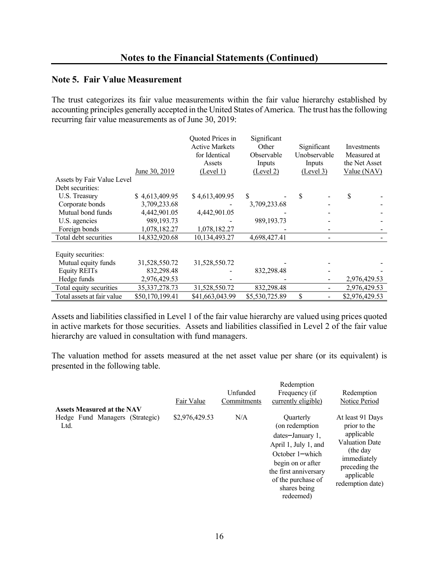### **Note 5. Fair Value Measurement**

The trust categorizes its fair value measurements within the fair value hierarchy established by accounting principles generally accepted in the United States of America. The trust has the following recurring fair value measurements as of June 30, 2019:

|                            |                  | Quoted Prices in<br><b>Active Markets</b><br>for Identical | Significant<br>Other<br>Observable |    | Significant<br>Unobservable | Investments<br>Measured at |
|----------------------------|------------------|------------------------------------------------------------|------------------------------------|----|-----------------------------|----------------------------|
|                            |                  | Assets                                                     | Inputs                             |    | Inputs                      | the Net Asset              |
|                            | June 30, 2019    | (Level 1)                                                  | (Level 2)                          |    | (Level 3)                   | Value (NAV)                |
| Assets by Fair Value Level |                  |                                                            |                                    |    |                             |                            |
| Debt securities:           |                  |                                                            |                                    |    |                             |                            |
| U.S. Treasury              | \$4,613,409.95   | \$4,613,409.95                                             | \$                                 | S  |                             | S                          |
| Corporate bonds            | 3,709,233.68     |                                                            | 3,709,233.68                       |    |                             |                            |
| Mutual bond funds          | 4,442,901.05     | 4,442,901.05                                               |                                    |    |                             |                            |
| U.S. agencies              | 989, 193. 73     |                                                            | 989, 193. 73                       |    |                             |                            |
| Foreign bonds              | 1,078,182.27     | 1,078,182.27                                               |                                    |    |                             |                            |
| Total debt securities      | 14,832,920.68    | 10,134,493.27                                              | 4,698,427.41                       |    |                             |                            |
|                            |                  |                                                            |                                    |    |                             |                            |
| Equity securities:         |                  |                                                            |                                    |    |                             |                            |
| Mutual equity funds        | 31,528,550.72    | 31,528,550.72                                              |                                    |    |                             |                            |
| <b>Equity REITs</b>        | 832,298.48       |                                                            | 832,298.48                         |    |                             |                            |
| Hedge funds                | 2,976,429.53     |                                                            |                                    |    |                             | 2,976,429.53               |
| Total equity securities    | 35, 337, 278. 73 | 31,528,550.72                                              | 832,298.48                         |    |                             | 2,976,429.53               |
| Total assets at fair value | \$50,170,199.41  | \$41,663,043.99                                            | \$5,530,725.89                     | \$ |                             | \$2,976,429.53             |

Assets and liabilities classified in Level 1 of the fair value hierarchy are valued using prices quoted in active markets for those securities. Assets and liabilities classified in Level 2 of the fair value hierarchy are valued in consultation with fund managers.

The valuation method for assets measured at the net asset value per share (or its equivalent) is presented in the following table.

|                                   |                |             | Redemption            |                              |
|-----------------------------------|----------------|-------------|-----------------------|------------------------------|
|                                   |                | Unfunded    | Frequency (if         | Redemption                   |
|                                   | Fair Value     | Commitments | currently eligible)   | Notice Period                |
| <b>Assets Measured at the NAV</b> |                |             |                       |                              |
| Hedge Fund Managers (Strategic)   | \$2,976,429.53 | N/A         | Quarterly             | At least 91 Days             |
| Ltd.                              |                |             | (on redemption)       | prior to the                 |
|                                   |                |             | dates-January 1,      | applicable                   |
|                                   |                |             | April 1, July 1, and  | <b>Valuation Date</b>        |
|                                   |                |             | October 1-which       | (the day)                    |
|                                   |                |             | begin on or after     | immediately<br>preceding the |
|                                   |                |             | the first anniversary | applicable                   |
|                                   |                |             | of the purchase of    | redemption date)             |
|                                   |                |             | shares being          |                              |
|                                   |                |             | redeemed)             |                              |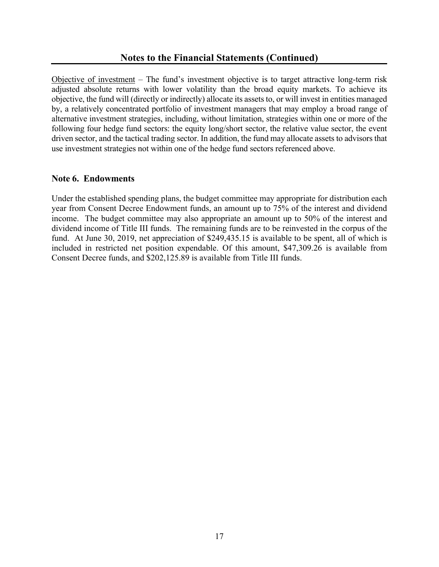Objective of investment – The fund's investment objective is to target attractive long-term risk adjusted absolute returns with lower volatility than the broad equity markets. To achieve its objective, the fund will (directly or indirectly) allocate its assets to, or will invest in entities managed by, a relatively concentrated portfolio of investment managers that may employ a broad range of alternative investment strategies, including, without limitation, strategies within one or more of the following four hedge fund sectors: the equity long/short sector, the relative value sector, the event driven sector, and the tactical trading sector. In addition, the fund may allocate assets to advisors that use investment strategies not within one of the hedge fund sectors referenced above.

### **Note 6. Endowments**

Under the established spending plans, the budget committee may appropriate for distribution each year from Consent Decree Endowment funds, an amount up to 75% of the interest and dividend income. The budget committee may also appropriate an amount up to 50% of the interest and dividend income of Title III funds. The remaining funds are to be reinvested in the corpus of the fund. At June 30, 2019, net appreciation of \$249,435.15 is available to be spent, all of which is included in restricted net position expendable. Of this amount, \$47,309.26 is available from Consent Decree funds, and \$202,125.89 is available from Title III funds.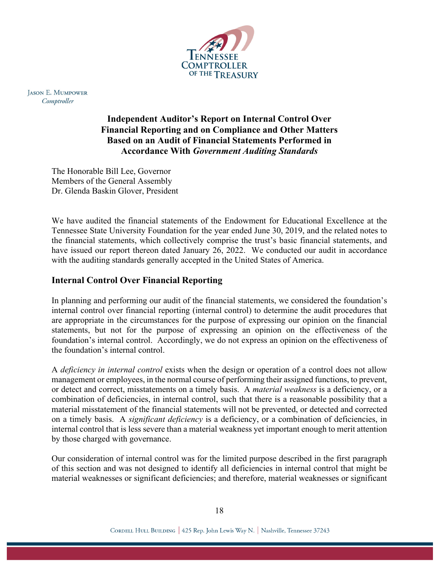

**JASON E. MUMPOWER** Comptroller

### **Independent Auditor's Report on Internal Control Over Financial Reporting and on Compliance and Other Matters Based on an Audit of Financial Statements Performed in Accordance With** *Government Auditing Standards*

The Honorable Bill Lee, Governor Members of the General Assembly Dr. Glenda Baskin Glover, President

We have audited the financial statements of the Endowment for Educational Excellence at the Tennessee State University Foundation for the year ended June 30, 2019, and the related notes to the financial statements, which collectively comprise the trust's basic financial statements, and have issued our report thereon dated January 26, 2022. We conducted our audit in accordance with the auditing standards generally accepted in the United States of America.

### **Internal Control Over Financial Reporting**

In planning and performing our audit of the financial statements, we considered the foundation's internal control over financial reporting (internal control) to determine the audit procedures that are appropriate in the circumstances for the purpose of expressing our opinion on the financial statements, but not for the purpose of expressing an opinion on the effectiveness of the foundation's internal control. Accordingly, we do not express an opinion on the effectiveness of the foundation's internal control.

A *deficiency in internal control* exists when the design or operation of a control does not allow management or employees, in the normal course of performing their assigned functions, to prevent, or detect and correct, misstatements on a timely basis. A *material weakness* is a deficiency, or a combination of deficiencies, in internal control, such that there is a reasonable possibility that a material misstatement of the financial statements will not be prevented, or detected and corrected on a timely basis. A *significant deficiency* is a deficiency, or a combination of deficiencies, in internal control that is less severe than a material weakness yet important enough to merit attention by those charged with governance.

Our consideration of internal control was for the limited purpose described in the first paragraph of this section and was not designed to identify all deficiencies in internal control that might be material weaknesses or significant deficiencies; and therefore, material weaknesses or significant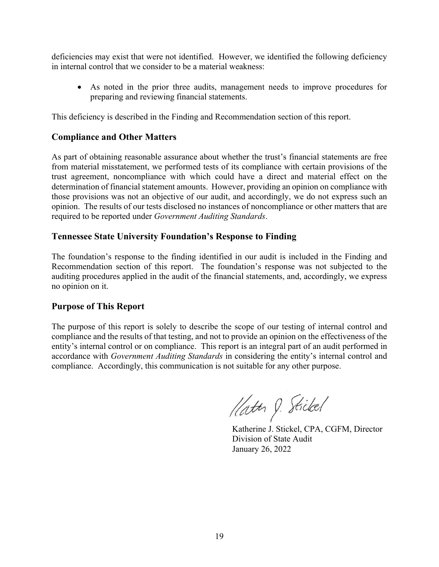deficiencies may exist that were not identified. However, we identified the following deficiency in internal control that we consider to be a material weakness:

 As noted in the prior three audits, management needs to improve procedures for preparing and reviewing financial statements.

This deficiency is described in the Finding and Recommendation section of this report.

### **Compliance and Other Matters**

As part of obtaining reasonable assurance about whether the trust's financial statements are free from material misstatement, we performed tests of its compliance with certain provisions of the trust agreement, noncompliance with which could have a direct and material effect on the determination of financial statement amounts. However, providing an opinion on compliance with those provisions was not an objective of our audit, and accordingly, we do not express such an opinion. The results of our tests disclosed no instances of noncompliance or other matters that are required to be reported under *Government Auditing Standards*.

### **Tennessee State University Foundation's Response to Finding**

The foundation's response to the finding identified in our audit is included in the Finding and Recommendation section of this report. The foundation's response was not subjected to the auditing procedures applied in the audit of the financial statements, and, accordingly, we express no opinion on it.

### **Purpose of This Report**

The purpose of this report is solely to describe the scope of our testing of internal control and compliance and the results of that testing, and not to provide an opinion on the effectiveness of the entity's internal control or on compliance. This report is an integral part of an audit performed in accordance with *Government Auditing Standards* in considering the entity's internal control and compliance. Accordingly, this communication is not suitable for any other purpose.

Hatter J. Stickel

 Katherine J. Stickel, CPA, CGFM, Director Division of State Audit January 26, 2022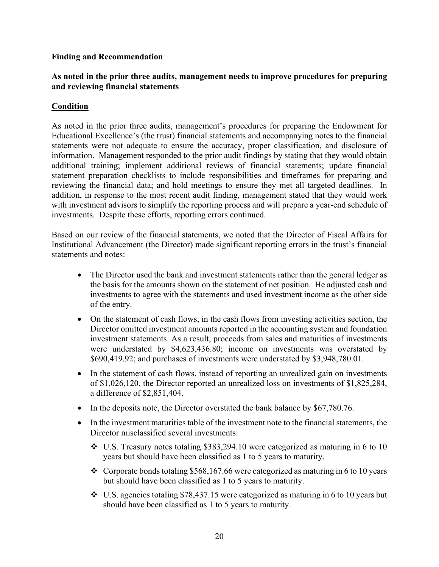### **Finding and Recommendation**

### **As noted in the prior three audits, management needs to improve procedures for preparing and reviewing financial statements**

### **Condition**

As noted in the prior three audits, management's procedures for preparing the Endowment for Educational Excellence's (the trust) financial statements and accompanying notes to the financial statements were not adequate to ensure the accuracy, proper classification, and disclosure of information. Management responded to the prior audit findings by stating that they would obtain additional training; implement additional reviews of financial statements; update financial statement preparation checklists to include responsibilities and timeframes for preparing and reviewing the financial data; and hold meetings to ensure they met all targeted deadlines. In addition, in response to the most recent audit finding, management stated that they would work with investment advisors to simplify the reporting process and will prepare a year-end schedule of investments. Despite these efforts, reporting errors continued.

Based on our review of the financial statements, we noted that the Director of Fiscal Affairs for Institutional Advancement (the Director) made significant reporting errors in the trust's financial statements and notes:

- The Director used the bank and investment statements rather than the general ledger as the basis for the amounts shown on the statement of net position. He adjusted cash and investments to agree with the statements and used investment income as the other side of the entry.
- On the statement of cash flows, in the cash flows from investing activities section, the Director omitted investment amounts reported in the accounting system and foundation investment statements. As a result, proceeds from sales and maturities of investments were understated by \$4,623,436.80; income on investments was overstated by \$690,419.92; and purchases of investments were understated by \$3,948,780.01.
- In the statement of cash flows, instead of reporting an unrealized gain on investments of \$1,026,120, the Director reported an unrealized loss on investments of \$1,825,284, a difference of \$2,851,404.
- In the deposits note, the Director overstated the bank balance by \$67,780.76.
- In the investment maturities table of the investment note to the financial statements, the Director misclassified several investments:
	- $\div$  U.S. Treasury notes totaling \$383,294.10 were categorized as maturing in 6 to 10 years but should have been classified as 1 to 5 years to maturity.
	- $\cdot$  Corporate bonds totaling \$568,167.66 were categorized as maturing in 6 to 10 years but should have been classified as 1 to 5 years to maturity.
	- $\div$  U.S. agencies totaling \$78,437.15 were categorized as maturing in 6 to 10 years but should have been classified as 1 to 5 years to maturity.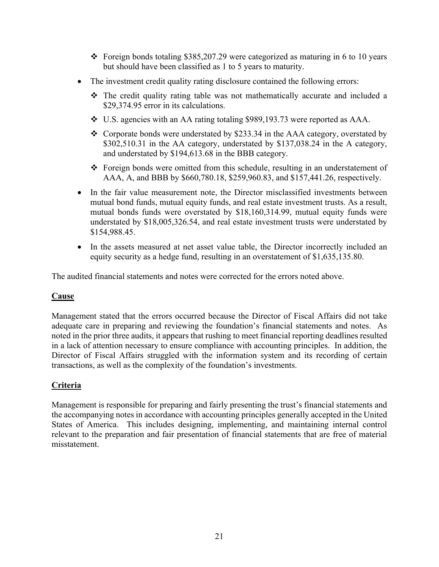- Foreign bonds totaling \$385,207.29 were categorized as maturing in 6 to 10 years but should have been classified as 1 to 5 years to maturity.
- The investment credit quality rating disclosure contained the following errors:
	- \* The credit quality rating table was not mathematically accurate and included a \$29,374.95 error in its calculations.
	- U.S. agencies with an AA rating totaling \$989,193.73 were reported as AAA.
	- \* Corporate bonds were understated by \$233.34 in the AAA category, overstated by \$302,510.31 in the AA category, understated by \$137,038.24 in the A category, and understated by \$194,613.68 in the BBB category.
	- Foreign bonds were omitted from this schedule, resulting in an understatement of AAA, A, and BBB by \$660,780.18, \$259,960.83, and \$157,441.26, respectively.
- In the fair value measurement note, the Director misclassified investments between mutual bond funds, mutual equity funds, and real estate investment trusts. As a result, mutual bonds funds were overstated by \$18,160,314.99, mutual equity funds were understated by \$18,005,326.54, and real estate investment trusts were understated by \$154,988.45.
- In the assets measured at net asset value table, the Director incorrectly included an equity security as a hedge fund, resulting in an overstatement of \$1,635,135.80.

The audited financial statements and notes were corrected for the errors noted above.

### **Cause**

Management stated that the errors occurred because the Director of Fiscal Affairs did not take adequate care in preparing and reviewing the foundation's financial statements and notes. As noted in the prior three audits, it appears that rushing to meet financial reporting deadlines resulted in a lack of attention necessary to ensure compliance with accounting principles. In addition, the Director of Fiscal Affairs struggled with the information system and its recording of certain transactions, as well as the complexity of the foundation's investments.

### **Criteria**

Management is responsible for preparing and fairly presenting the trust's financial statements and the accompanying notes in accordance with accounting principles generally accepted in the United States of America. This includes designing, implementing, and maintaining internal control relevant to the preparation and fair presentation of financial statements that are free of material misstatement.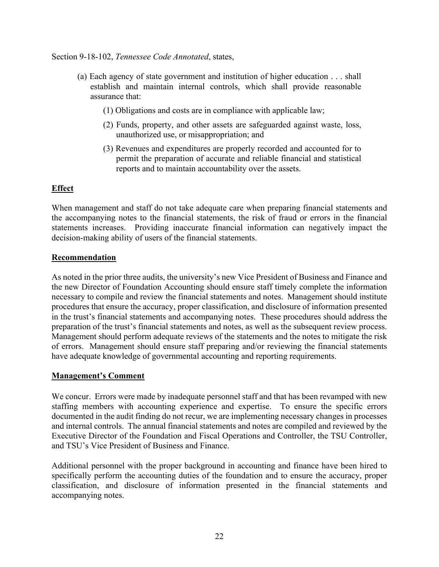Section 9-18-102, *Tennessee Code Annotated*, states,

- (a) Each agency of state government and institution of higher education . . . shall establish and maintain internal controls, which shall provide reasonable assurance that:
	- (1) Obligations and costs are in compliance with applicable law;
	- (2) Funds, property, and other assets are safeguarded against waste, loss, unauthorized use, or misappropriation; and
	- (3) Revenues and expenditures are properly recorded and accounted for to permit the preparation of accurate and reliable financial and statistical reports and to maintain accountability over the assets.

### **Effect**

When management and staff do not take adequate care when preparing financial statements and the accompanying notes to the financial statements, the risk of fraud or errors in the financial statements increases. Providing inaccurate financial information can negatively impact the decision-making ability of users of the financial statements.

### **Recommendation**

As noted in the prior three audits, the university's new Vice President of Business and Finance and the new Director of Foundation Accounting should ensure staff timely complete the information necessary to compile and review the financial statements and notes. Management should institute procedures that ensure the accuracy, proper classification, and disclosure of information presented in the trust's financial statements and accompanying notes. These procedures should address the preparation of the trust's financial statements and notes, as well as the subsequent review process. Management should perform adequate reviews of the statements and the notes to mitigate the risk of errors. Management should ensure staff preparing and/or reviewing the financial statements have adequate knowledge of governmental accounting and reporting requirements.

### **Management's Comment**

We concur. Errors were made by inadequate personnel staff and that has been revamped with new staffing members with accounting experience and expertise. To ensure the specific errors documented in the audit finding do not recur, we are implementing necessary changes in processes and internal controls. The annual financial statements and notes are compiled and reviewed by the Executive Director of the Foundation and Fiscal Operations and Controller, the TSU Controller, and TSU's Vice President of Business and Finance.

Additional personnel with the proper background in accounting and finance have been hired to specifically perform the accounting duties of the foundation and to ensure the accuracy, proper classification, and disclosure of information presented in the financial statements and accompanying notes.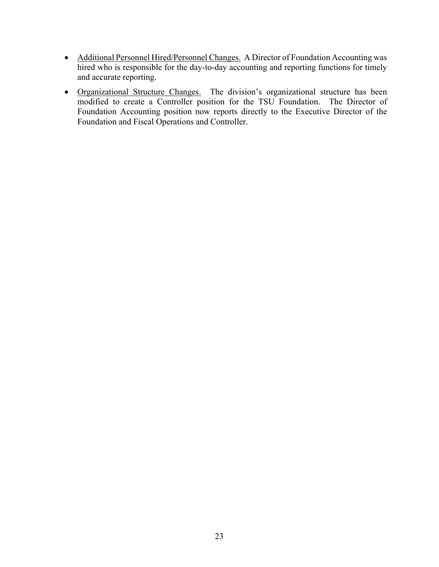- Additional Personnel Hired/Personnel Changes. A Director of Foundation Accounting was hired who is responsible for the day-to-day accounting and reporting functions for timely and accurate reporting.
- Organizational Structure Changes. The division's organizational structure has been modified to create a Controller position for the TSU Foundation. The Director of Foundation Accounting position now reports directly to the Executive Director of the Foundation and Fiscal Operations and Controller.